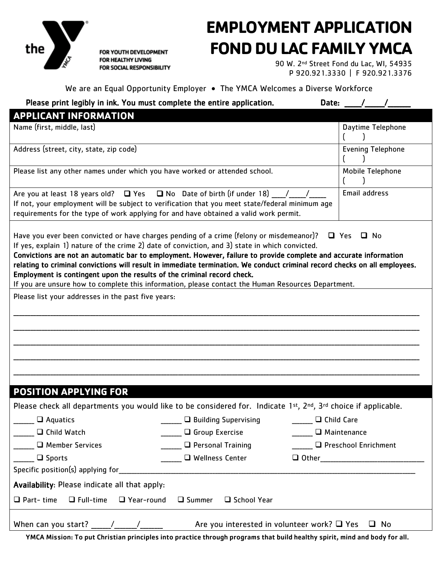

FOR YOUTH DEVELOPMENT FOR HEALTHY LIVING FOR SOCIAL RESPONSIBILITY

### **EMPLOYMENT APPLICATION FOND DU LAC FAMILY YMCA**

 90 W. 2nd Street Fond du Lac, WI, 54935 P 920.921.3330 | F 920.921.3376

#### We are an Equal Opportunity Employer • The YMCA Welcomes a Diverse Workforce

| Please print legibly in ink. You must complete the entire application.                                                                                                                                                                                                                                                                                                                                                                                                                                                                                                                                                         |                                                            | Date:                  |  |  |  |
|--------------------------------------------------------------------------------------------------------------------------------------------------------------------------------------------------------------------------------------------------------------------------------------------------------------------------------------------------------------------------------------------------------------------------------------------------------------------------------------------------------------------------------------------------------------------------------------------------------------------------------|------------------------------------------------------------|------------------------|--|--|--|
| <b>APPLICANT INFORMATION</b>                                                                                                                                                                                                                                                                                                                                                                                                                                                                                                                                                                                                   |                                                            |                        |  |  |  |
| Name (first, middle, last)                                                                                                                                                                                                                                                                                                                                                                                                                                                                                                                                                                                                     |                                                            | Daytime Telephone      |  |  |  |
| Address (street, city, state, zip code)                                                                                                                                                                                                                                                                                                                                                                                                                                                                                                                                                                                        | <b>Evening Telephone</b>                                   |                        |  |  |  |
| Please list any other names under which you have worked or attended school.                                                                                                                                                                                                                                                                                                                                                                                                                                                                                                                                                    | Mobile Telephone                                           |                        |  |  |  |
| Email address<br>Are you at least 18 years old? $\Box$ Yes $\Box$ No Date of birth (if under 18) /<br>If not, your employment will be subject to verification that you meet state/federal minimum age<br>requirements for the type of work applying for and have obtained a valid work permit.                                                                                                                                                                                                                                                                                                                                 |                                                            |                        |  |  |  |
| Have you ever been convicted or have charges pending of a crime (felony or misdemeanor)?<br>If yes, explain 1) nature of the crime 2) date of conviction, and 3) state in which convicted.<br>Convictions are not an automatic bar to employment. However, failure to provide complete and accurate information<br>relating to criminal convictions will result in immediate termination. We conduct criminal record checks on all employees.<br>Employment is contingent upon the results of the criminal record check.<br>If you are unsure how to complete this information, please contact the Human Resources Department. |                                                            | □ Yes □ No             |  |  |  |
| Please list your addresses in the past five years:                                                                                                                                                                                                                                                                                                                                                                                                                                                                                                                                                                             |                                                            |                        |  |  |  |
|                                                                                                                                                                                                                                                                                                                                                                                                                                                                                                                                                                                                                                |                                                            |                        |  |  |  |
| <b>POSITION APPLYING FOR</b>                                                                                                                                                                                                                                                                                                                                                                                                                                                                                                                                                                                                   |                                                            |                        |  |  |  |
| Please check all departments you would like to be considered for. Indicate 1st, 2nd, 3rd choice if applicable.                                                                                                                                                                                                                                                                                                                                                                                                                                                                                                                 |                                                            |                        |  |  |  |
| $\Box$ Aquatics                                                                                                                                                                                                                                                                                                                                                                                                                                                                                                                                                                                                                | $\square$ Building Supervising                             | $\Box$ Child Care      |  |  |  |
| $\Box$ Child Watch                                                                                                                                                                                                                                                                                                                                                                                                                                                                                                                                                                                                             | $\Box$ Group Exercise                                      | $\Box$ Maintenance     |  |  |  |
| Member Services                                                                                                                                                                                                                                                                                                                                                                                                                                                                                                                                                                                                                | $\Box$ Personal Training                                   | □ Preschool Enrichment |  |  |  |
| $\Box$ Sports                                                                                                                                                                                                                                                                                                                                                                                                                                                                                                                                                                                                                  | $\Box$ Wellness Center                                     |                        |  |  |  |
| Specific position(s) applying for                                                                                                                                                                                                                                                                                                                                                                                                                                                                                                                                                                                              |                                                            |                        |  |  |  |
| Availability: Please indicate all that apply:                                                                                                                                                                                                                                                                                                                                                                                                                                                                                                                                                                                  |                                                            |                        |  |  |  |
| $\Box$ Full-time<br>$\Box$ Year-round<br>$\Box$ Part-time                                                                                                                                                                                                                                                                                                                                                                                                                                                                                                                                                                      | $\Box$ Summer<br>□ School Year                             |                        |  |  |  |
| When can you start? $\frac{1}{2}$ /                                                                                                                                                                                                                                                                                                                                                                                                                                                                                                                                                                                            | Are you interested in volunteer work? $\Box$ Yes $\Box$ No |                        |  |  |  |

YMCA Mission: To put Christian principles into practice through programs that build healthy spirit, mind and body for all.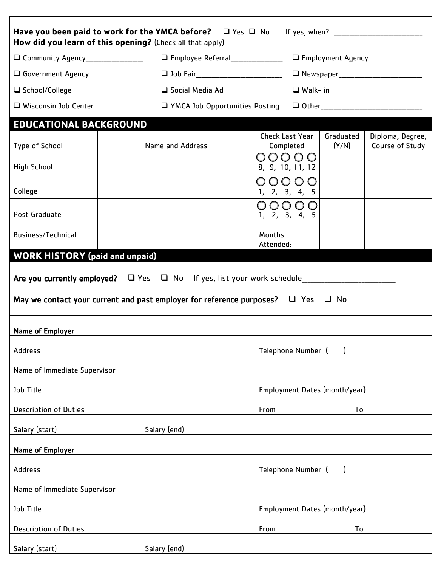| Have you been paid to work for the YMCA before? $\Box$ Yes $\Box$ No If yes, when?<br>How did you learn of this opening? (Check all that apply)                                            |                                         |                                     |                     |                    |                                     |  |
|--------------------------------------------------------------------------------------------------------------------------------------------------------------------------------------------|-----------------------------------------|-------------------------------------|---------------------|--------------------|-------------------------------------|--|
| O Community Agency___________________                                                                                                                                                      | □ Employee Referral_______________      |                                     | □ Employment Agency |                    |                                     |  |
| <b>Q</b> Government Agency                                                                                                                                                                 |                                         |                                     |                     |                    |                                     |  |
| □ School/College                                                                                                                                                                           | □ Social Media Ad                       |                                     | $\Box$ Walk- in     |                    |                                     |  |
| $\Box$ Wisconsin Job Center                                                                                                                                                                | <b>T</b> YMCA Job Opportunities Posting |                                     |                     |                    |                                     |  |
| <b>EDUCATIONAL BACKGROUND</b>                                                                                                                                                              |                                         |                                     |                     |                    |                                     |  |
| Type of School                                                                                                                                                                             | Name and Address                        | <b>Check Last Year</b><br>Completed |                     | Graduated<br>(Y/N) | Diploma, Degree,<br>Course of Study |  |
|                                                                                                                                                                                            |                                         | 00000                               |                     |                    |                                     |  |
| <b>High School</b>                                                                                                                                                                         |                                         | 8, 9, 10, 11, 12                    |                     |                    |                                     |  |
| College                                                                                                                                                                                    |                                         | 00000<br>1, 2, 3, 4, 5              |                     |                    |                                     |  |
|                                                                                                                                                                                            |                                         | 00000                               |                     |                    |                                     |  |
| Post Graduate                                                                                                                                                                              |                                         | 1, 2, 3, 4, 5                       |                     |                    |                                     |  |
| <b>Business/Technical</b>                                                                                                                                                                  |                                         | Months                              |                     |                    |                                     |  |
| <b>WORK HISTORY</b> (paid and unpaid)                                                                                                                                                      |                                         | Attended:                           |                     |                    |                                     |  |
| Are you currently employed? $\Box$ Yes $\Box$ No If yes, list your work schedule____________<br>May we contact your current and past employer for reference purposes? $\Box$ Yes $\Box$ No |                                         |                                     |                     |                    |                                     |  |
| Name of Employer                                                                                                                                                                           |                                         |                                     |                     |                    |                                     |  |
| <b>Address</b>                                                                                                                                                                             |                                         | Telephone Number (                  |                     |                    |                                     |  |
| Name of Immediate Supervisor                                                                                                                                                               |                                         |                                     |                     |                    |                                     |  |
| Job Title                                                                                                                                                                                  |                                         | Employment Dates (month/year)       |                     |                    |                                     |  |
| <b>Description of Duties</b>                                                                                                                                                               |                                         | To<br>From                          |                     |                    |                                     |  |
| Salary (start)<br>Salary (end)                                                                                                                                                             |                                         |                                     |                     |                    |                                     |  |
| Name of Employer                                                                                                                                                                           |                                         |                                     |                     |                    |                                     |  |
| <b>Address</b>                                                                                                                                                                             | Telephone Number (                      |                                     |                     |                    |                                     |  |
| Name of Immediate Supervisor                                                                                                                                                               |                                         |                                     |                     |                    |                                     |  |
| Job Title                                                                                                                                                                                  |                                         | Employment Dates (month/year)       |                     |                    |                                     |  |
| <b>Description of Duties</b>                                                                                                                                                               |                                         | From                                |                     | To                 |                                     |  |
| Salary (start)                                                                                                                                                                             | Salary (end)                            |                                     |                     |                    |                                     |  |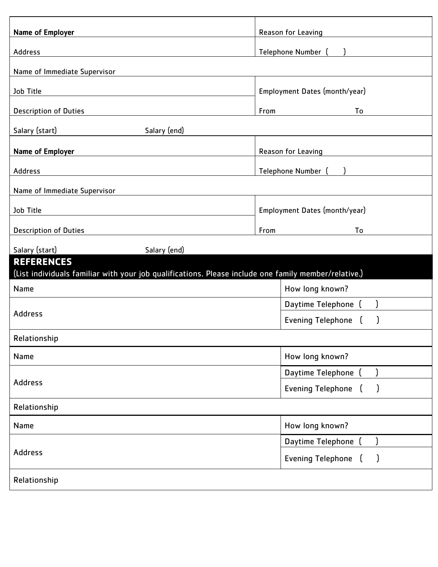| Name of Employer                                                                                     | Reason for Leaving                        |  |  |  |  |
|------------------------------------------------------------------------------------------------------|-------------------------------------------|--|--|--|--|
| Address                                                                                              | Telephone Number (                        |  |  |  |  |
| Name of Immediate Supervisor                                                                         |                                           |  |  |  |  |
| Job Title                                                                                            | Employment Dates (month/year)             |  |  |  |  |
|                                                                                                      |                                           |  |  |  |  |
| <b>Description of Duties</b>                                                                         | From<br>To                                |  |  |  |  |
| Salary (start)<br>Salary (end)                                                                       |                                           |  |  |  |  |
| Name of Employer                                                                                     | Reason for Leaving                        |  |  |  |  |
| Address                                                                                              | Telephone Number (                        |  |  |  |  |
| Name of Immediate Supervisor                                                                         |                                           |  |  |  |  |
| Job Title                                                                                            | Employment Dates (month/year)             |  |  |  |  |
| <b>Description of Duties</b>                                                                         | From<br>To                                |  |  |  |  |
| Salary (start)<br>Salary (end)                                                                       |                                           |  |  |  |  |
| <b>REFERENCES</b>                                                                                    |                                           |  |  |  |  |
| (List individuals familiar with your job qualifications. Please include one family member/relative.) |                                           |  |  |  |  |
| Name                                                                                                 | How long known?                           |  |  |  |  |
| <b>Address</b>                                                                                       | Daytime Telephone (                       |  |  |  |  |
|                                                                                                      | <b>Evening Telephone</b><br>$\mathcal{I}$ |  |  |  |  |
| Relationship                                                                                         |                                           |  |  |  |  |
| Name                                                                                                 | How long known?                           |  |  |  |  |
|                                                                                                      | Daytime Telephone                         |  |  |  |  |
| <b>Address</b>                                                                                       | <b>Evening Telephone</b>                  |  |  |  |  |
| Relationship                                                                                         |                                           |  |  |  |  |
| Name                                                                                                 | How long known?                           |  |  |  |  |
|                                                                                                      | Daytime Telephone                         |  |  |  |  |
| <b>Address</b>                                                                                       | <b>Evening Telephone</b><br>)             |  |  |  |  |
| Relationship                                                                                         |                                           |  |  |  |  |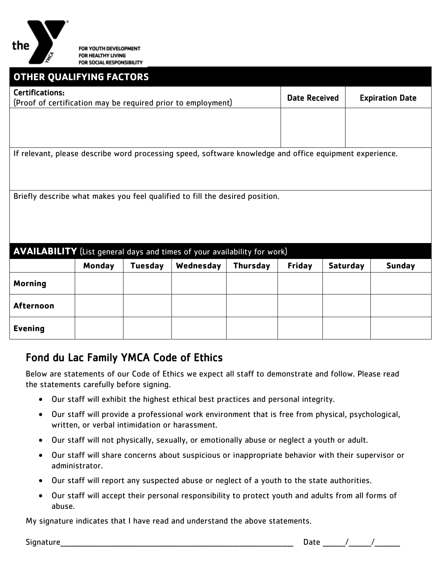

# **OTHER QUALIFYING FACTORS** Certifications: ertifications.<br>(Proof of certification may be required prior to employment) Date Received | Expiration Date If relevant, please describe word processing speed, software knowledge and office equipment experience. Briefly describe what makes you feel qualified to fill the desired position. **AVAILABILITY** (List general days and times of your availability for work) **Monday Tuesday Wednesday Thursday Friday Saturday Sunday Morning Afternoon**

### Fond du Lac Family YMCA Code of Ethics

Below are statements of our Code of Ethics we expect all staff to demonstrate and follow. Please read the statements carefully before signing.

- Our staff will exhibit the highest ethical best practices and personal integrity.
- Our staff will provide a professional work environment that is free from physical, psychological, written, or verbal intimidation or harassment.
- Our staff will not physically, sexually, or emotionally abuse or neglect a youth or adult.
- Our staff will share concerns about suspicious or inappropriate behavior with their supervisor or administrator.
- Our staff will report any suspected abuse or neglect of a youth to the state authorities.
- Our staff will accept their personal responsibility to protect youth and adults from all forms of abuse.

My signature indicates that I have read and understand the above statements.

**Evening**

Signature\_\_\_\_\_\_\_\_\_\_\_\_\_\_\_\_\_\_\_\_\_\_\_\_\_\_\_\_\_\_\_\_\_\_\_\_\_\_\_\_\_\_\_\_\_\_\_\_\_\_\_\_\_\_\_\_\_\_\_\_\_\_\_\_\_\_\_\_\_\_\_\_\_\_\_\_\_\_\_\_\_\_ Date \_\_\_\_\_\_\_\_/\_\_\_\_\_\_\_\_/\_\_\_\_\_\_\_\_\_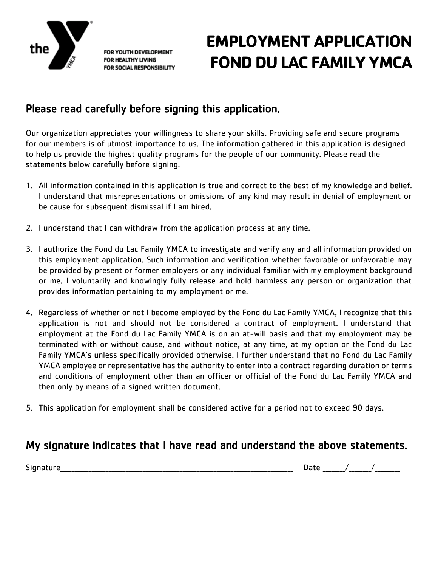

FOR YOUTH DEVELOPMENT **FOR HEALTHY LIVING FOR SOCIAL RESPONSIBILITY** 

## **EMPLOYMENT APPLICATION FOND DU LAC FAMILY YMCA**

### Please read carefully before signing this application.

Our organization appreciates your willingness to share your skills. Providing safe and secure programs for our members is of utmost importance to us. The information gathered in this application is designed to help us provide the highest quality programs for the people of our community. Please read the statements below carefully before signing.

- 1. All information contained in this application is true and correct to the best of my knowledge and belief. I understand that misrepresentations or omissions of any kind may result in denial of employment or be cause for subsequent dismissal if I am hired.
- 2. I understand that I can withdraw from the application process at any time.
- 3. I authorize the Fond du Lac Family YMCA to investigate and verify any and all information provided on this employment application. Such information and verification whether favorable or unfavorable may be provided by present or former employers or any individual familiar with my employment background or me. I voluntarily and knowingly fully release and hold harmless any person or organization that provides information pertaining to my employment or me.
- 4. Regardless of whether or not I become employed by the Fond du Lac Family YMCA, I recognize that this application is not and should not be considered a contract of employment. I understand that employment at the Fond du Lac Family YMCA is on an at-will basis and that my employment may be terminated with or without cause, and without notice, at any time, at my option or the Fond du Lac Family YMCA's unless specifically provided otherwise. I further understand that no Fond du Lac Family YMCA employee or representative has the authority to enter into a contract regarding duration or terms and conditions of employment other than an officer or official of the Fond du Lac Family YMCA and then only by means of a signed written document.
- 5. This application for employment shall be considered active for a period not to exceed 90 days.

### My signature indicates that I have read and understand the above statements.

Signature the contract of the contract of the contract of the contract of the contract of the contract of the contract of the contract of the contract of the contract of the contract of the contract of the contract of the